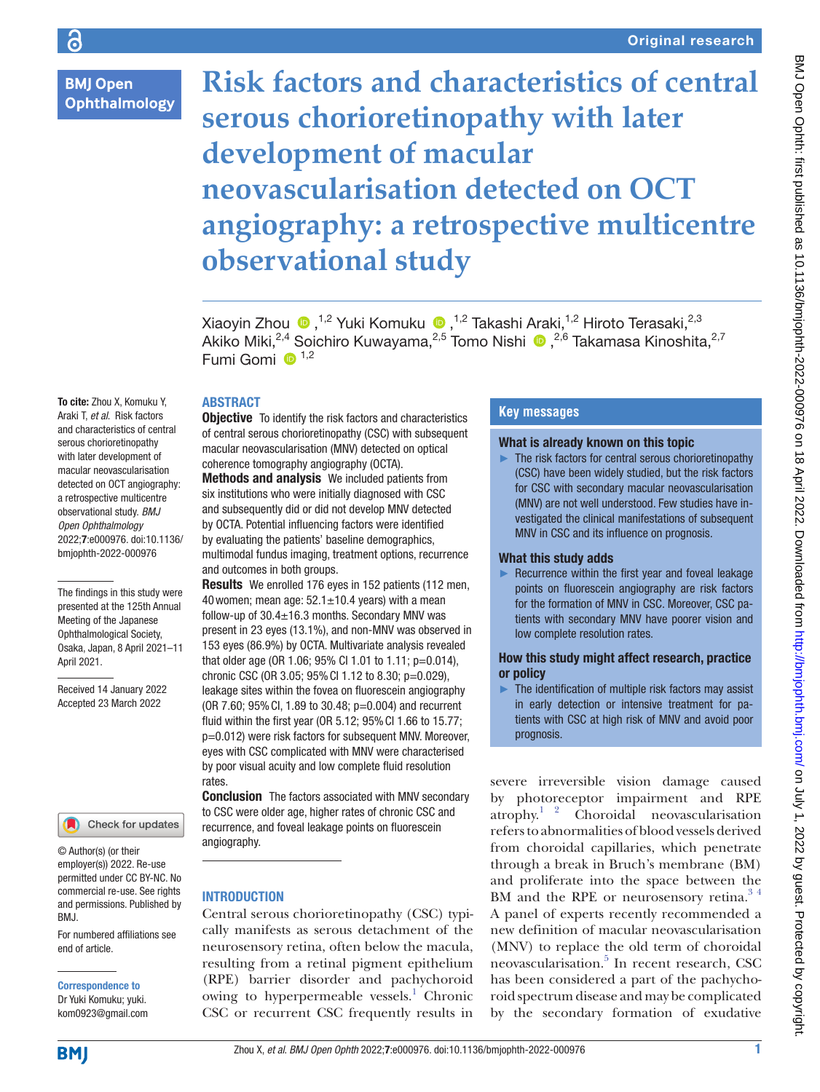**BMJ Open Ophthalmology** 

To cite: Zhou X, Komuku Y, Araki T, *et al*. Risk factors and characteristics of central serous chorioretinopathy with later development of macular neovascularisation detected on OCT angiography: a retrospective multicentre observational study. *BMJ Open Ophthalmology* 2022;7:e000976. doi:10.1136/ bmjophth-2022-000976

The findings in this study were presented at the 125th Annual Meeting of the Japanese Ophthalmological Society, Osaka, Japan, 8 April 2021–11

Received 14 January 2022 Accepted 23 March 2022

April 2021.

# **Risk factors and characteristics of central serous chorioretinopathy with later development of macular neovascularisation detected on OCT angiography: a retrospective multicentre observational study**

XiaoyinZhou (D, <sup>1,2</sup> Yuki Komuku (D, <sup>1,2</sup> Takashi Araki, <sup>1,2</sup> Hiroto Terasaki, <sup>2,3</sup> Akiko Miki,2,4 Soichiro Kuwayama,2,5 Tomo Nishi,2,6 Takamasa Kinoshita,2,7 Fumi Gomi  $\mathbf{D}^{1,2}$ 

# ABSTRACT

**Objective** To identify the risk factors and characteristics of central serous chorioretinopathy (CSC) with subsequent macular neovascularisation (MNV) detected on optical coherence tomography angiography (OCTA).

Methods and analysis We included patients from six institutions who were initially diagnosed with CSC and subsequently did or did not develop MNV detected by OCTA. Potential influencing factors were identified by evaluating the patients' baseline demographics, multimodal fundus imaging, treatment options, recurrence

and outcomes in both groups. Results We enrolled 176 eyes in 152 patients (112 men, 40 women; mean age:  $52.1 \pm 10.4$  years) with a mean follow-up of  $30.4 \pm 16.3$  months. Secondary MNV was present in 23 eyes (13.1%), and non-MNV was observed in 153 eyes (86.9%) by OCTA. Multivariate analysis revealed that older age (OR 1.06; 95% CI 1.01 to 1.11; p=0.014), chronic CSC (OR 3.05; 95%CI 1.12 to 8.30; p=0.029), leakage sites within the fovea on fluorescein angiography (OR 7.60; 95%CI, 1.89 to 30.48; p=0.004) and recurrent fluid within the first year (OR 5.12; 95%CI 1.66 to 15.77; p=0.012) were risk factors for subsequent MNV. Moreover, eyes with CSC complicated with MNV were characterised by poor visual acuity and low complete fluid resolution rates.

**Conclusion** The factors associated with MNV secondary to CSC were older age, higher rates of chronic CSC and recurrence, and foveal leakage points on fluorescein angiography.

# **INTRODUCTION**

Central serous chorioretinopathy (CSC) typically manifests as serous detachment of the neurosensory retina, often below the macula, resulting from a retinal pigment epithelium (RPE) barrier disorder and pachychoroid owing to hyperpermeable vessels.<sup>1</sup> Chronic CSC or recurrent CSC frequently results in

# **Key messages**

# What is already known on this topic

► The risk factors for central serous chorioretinopathy (CSC) have been widely studied, but the risk factors for CSC with secondary macular neovascularisation (MNV) are not well understood. Few studies have investigated the clinical manifestations of subsequent MNV in CSC and its influence on prognosis.

# What this study adds

► Recurrence within the first year and foveal leakage points on fluorescein angiography are risk factors for the formation of MNV in CSC. Moreover, CSC patients with secondary MNV have poorer vision and low complete resolution rates.

# How this study might affect research, practice or policy

► The identification of multiple risk factors may assist in early detection or intensive treatment for patients with CSC at high risk of MNV and avoid poor prognosis.

severe irreversible vision damage caused by photoreceptor impairment and RPE atrophy.[1 2](#page-6-0) Choroidal neovascularisation refers to abnormalities of blood vessels derived from choroidal capillaries, which penetrate through a break in Bruch's membrane (BM) and proliferate into the space between the BM and the RPE or neurosensory retina.<sup>34</sup> A panel of experts recently recommended a new definition of macular neovascularisation (MNV) to replace the old term of choroidal neovascularisation.<sup>[5](#page-6-2)</sup> In recent research, CSC has been considered a part of the pachychoroid spectrum disease and may be complicated by the secondary formation of exudative

employer(s)) 2022. Re-use

Check for updates

© Author(s) (or their

permitted under CC BY-NC. No commercial re-use. See rights and permissions. Published by BMJ.

For numbered affiliations see end of article.

Correspondence to Dr Yuki Komuku; yuki. kom0923@gmail.com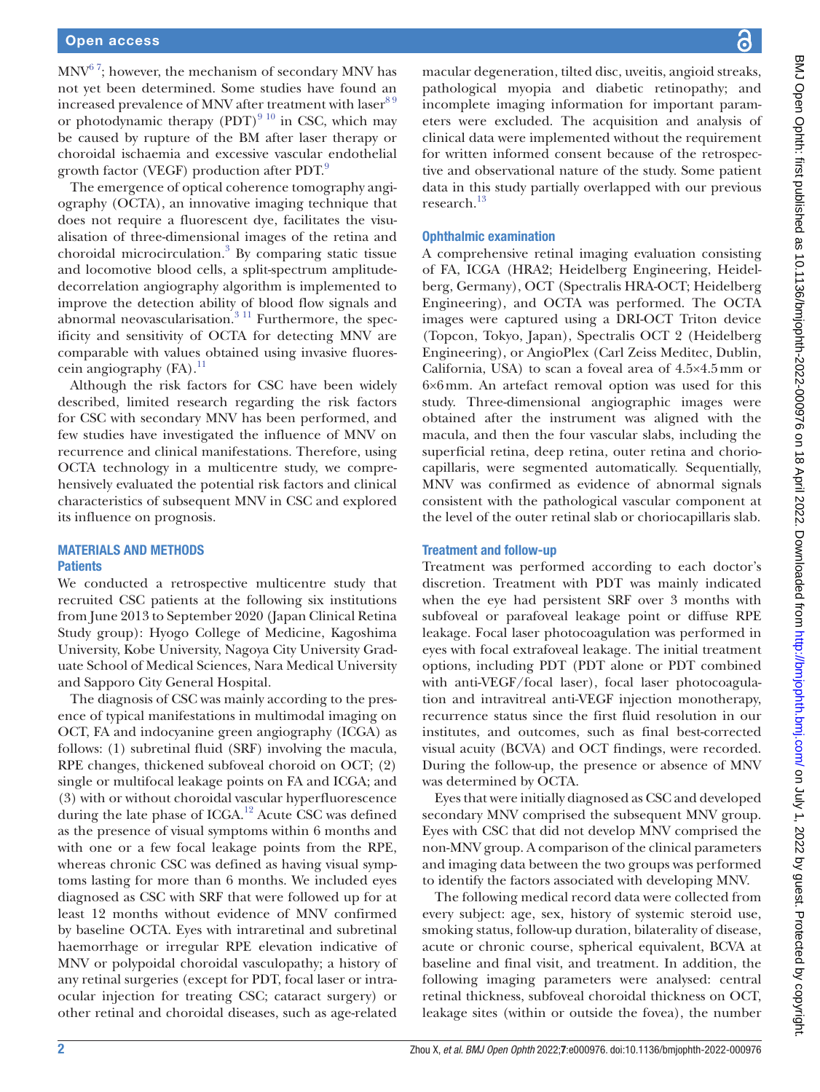$MNV<sup>67</sup>$ ; however, the mechanism of secondary MNV has not yet been determined. Some studies have found an increased prevalence of MNV after treatment with laser<sup>89</sup> or photodynamic therapy  $(PDT)^{9\;10}$  in CSC, which may be caused by rupture of the BM after laser therapy or choroidal ischaemia and excessive vascular endothelial growth factor (VEGF) production after PDT.<sup>[9](#page-6-5)</sup>

The emergence of optical coherence tomography angiography (OCTA), an innovative imaging technique that does not require a fluorescent dye, facilitates the visualisation of three-dimensional images of the retina and choroidal microcirculation.[3](#page-6-1) By comparing static tissue and locomotive blood cells, a split-spectrum amplitudedecorrelation angiography algorithm is implemented to improve the detection ability of blood flow signals and abnormal neovascularisation. $311$  Furthermore, the specificity and sensitivity of OCTA for detecting MNV are comparable with values obtained using invasive fluorescein angiography  $(FA).<sup>11</sup>$  $(FA).<sup>11</sup>$  $(FA).<sup>11</sup>$ 

Although the risk factors for CSC have been widely described, limited research regarding the risk factors for CSC with secondary MNV has been performed, and few studies have investigated the influence of MNV on recurrence and clinical manifestations. Therefore, using OCTA technology in a multicentre study, we comprehensively evaluated the potential risk factors and clinical characteristics of subsequent MNV in CSC and explored its influence on prognosis.

# MATERIALS AND METHODS **Patients**

We conducted a retrospective multicentre study that recruited CSC patients at the following six institutions from June 2013 to September 2020 (Japan Clinical Retina Study group): Hyogo College of Medicine, Kagoshima University, Kobe University, Nagoya City University Graduate School of Medical Sciences, Nara Medical University and Sapporo City General Hospital.

The diagnosis of CSC was mainly according to the presence of typical manifestations in multimodal imaging on OCT, FA and indocyanine green angiography (ICGA) as follows: (1) subretinal fluid (SRF) involving the macula, RPE changes, thickened subfoveal choroid on OCT; (2) single or multifocal leakage points on FA and ICGA; and (3) with or without choroidal vascular hyperfluorescence during the late phase of ICGA.<sup>[12](#page-6-7)</sup> Acute CSC was defined as the presence of visual symptoms within 6 months and with one or a few focal leakage points from the RPE, whereas chronic CSC was defined as having visual symptoms lasting for more than 6 months. We included eyes diagnosed as CSC with SRF that were followed up for at least 12 months without evidence of MNV confirmed by baseline OCTA. Eyes with intraretinal and subretinal haemorrhage or irregular RPE elevation indicative of MNV or polypoidal choroidal vasculopathy; a history of any retinal surgeries (except for PDT, focal laser or intraocular injection for treating CSC; cataract surgery) or other retinal and choroidal diseases, such as age-related

macular degeneration, tilted disc, uveitis, angioid streaks, pathological myopia and diabetic retinopathy; and incomplete imaging information for important parameters were excluded. The acquisition and analysis of clinical data were implemented without the requirement for written informed consent because of the retrospective and observational nature of the study. Some patient data in this study partially overlapped with our previous research[.13](#page-6-8)

# Ophthalmic examination

A comprehensive retinal imaging evaluation consisting of FA, ICGA (HRA2; Heidelberg Engineering, Heidelberg, Germany), OCT (Spectralis HRA-OCT; Heidelberg Engineering), and OCTA was performed. The OCTA images were captured using a DRI-OCT Triton device (Topcon, Tokyo, Japan), Spectralis OCT 2 (Heidelberg Engineering), or AngioPlex (Carl Zeiss Meditec, Dublin, California, USA) to scan a foveal area of 4.5×4.5mm or 6×6mm. An artefact removal option was used for this study. Three-dimensional angiographic images were obtained after the instrument was aligned with the macula, and then the four vascular slabs, including the superficial retina, deep retina, outer retina and choriocapillaris, were segmented automatically. Sequentially, MNV was confirmed as evidence of abnormal signals consistent with the pathological vascular component at the level of the outer retinal slab or choriocapillaris slab.

# Treatment and follow-up

Treatment was performed according to each doctor's discretion. Treatment with PDT was mainly indicated when the eye had persistent SRF over 3 months with subfoveal or parafoveal leakage point or diffuse RPE leakage. Focal laser photocoagulation was performed in eyes with focal extrafoveal leakage. The initial treatment options, including PDT (PDT alone or PDT combined with anti-VEGF/focal laser), focal laser photocoagulation and intravitreal anti-VEGF injection monotherapy, recurrence status since the first fluid resolution in our institutes, and outcomes, such as final best-corrected visual acuity (BCVA) and OCT findings, were recorded. During the follow-up, the presence or absence of MNV was determined by OCTA.

Eyes that were initially diagnosed as CSC and developed secondary MNV comprised the subsequent MNV group. Eyes with CSC that did not develop MNV comprised the non-MNV group. A comparison of the clinical parameters and imaging data between the two groups was performed to identify the factors associated with developing MNV.

The following medical record data were collected from every subject: age, sex, history of systemic steroid use, smoking status, follow-up duration, bilaterality of disease, acute or chronic course, spherical equivalent, BCVA at baseline and final visit, and treatment. In addition, the following imaging parameters were analysed: central retinal thickness, subfoveal choroidal thickness on OCT, leakage sites (within or outside the fovea), the number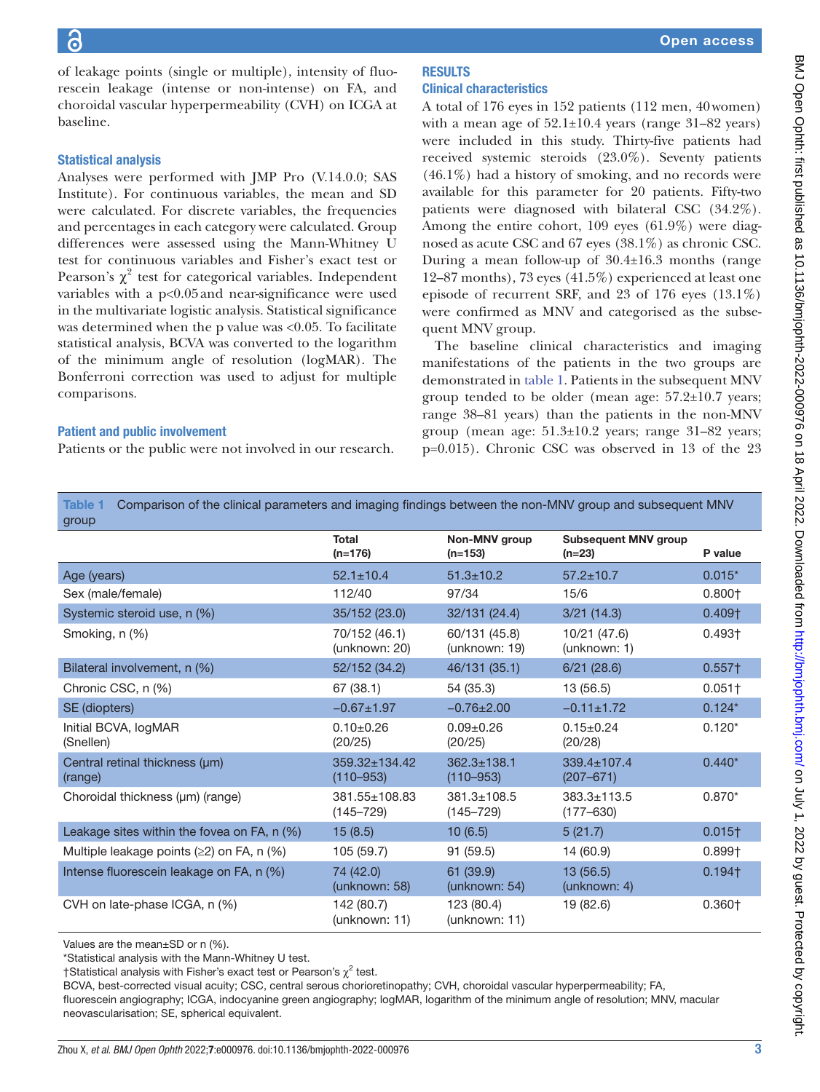of leakage points (single or multiple), intensity of fluorescein leakage (intense or non-intense) on FA, and choroidal vascular hyperpermeability (CVH) on ICGA at baseline.

# Statistical analysis

Analyses were performed with JMP Pro (V.14.0.0; SAS Institute). For continuous variables, the mean and SD were calculated. For discrete variables, the frequencies and percentages in each category were calculated. Group differences were assessed using the Mann-Whitney U test for continuous variables and Fisher's exact test or Pearson's  $\chi^2$  test for categorical variables. Independent variables with a p<0.05and near-significance were used in the multivariate logistic analysis. Statistical significance was determined when the p value was <0.05. To facilitate statistical analysis, BCVA was converted to the logarithm of the minimum angle of resolution (logMAR). The Bonferroni correction was used to adjust for multiple comparisons.

# Patient and public involvement

Patients or the public were not involved in our research.

# **RESULTS** Clinical characteristics

A total of 176 eyes in 152 patients (112 men, 40women) with a mean age of  $52.1 \pm 10.4$  years (range 31–82 years) were included in this study. Thirty-five patients had received systemic steroids (23.0%). Seventy patients  $(46.1\%)$  had a history of smoking, and no records were available for this parameter for 20 patients. Fifty-two patients were diagnosed with bilateral CSC (34.2%). Among the entire cohort, 109 eyes (61.9%) were diagnosed as acute CSC and 67 eyes (38.1%) as chronic CSC. During a mean follow-up of 30.4±16.3 months (range 12–87 months), 73 eyes (41.5%) experienced at least one episode of recurrent SRF, and 23 of 176 eyes (13.1%) were confirmed as MNV and categorised as the subsequent MNV group.

The baseline clinical characteristics and imaging manifestations of the patients in the two groups are demonstrated in [table](#page-2-0) 1. Patients in the subsequent MNV group tended to be older (mean age:  $57.2 \pm 10.7$  years; range 38–81 years) than the patients in the non-MNV group (mean age: 51.3±10.2 years; range 31–82 years; p=0.015). Chronic CSC was observed in 13 of the 23

<span id="page-2-0"></span>Table 1 Comparison of the clinical parameters and imaging findings between the non-MNV group and subsequent MNV group

| gioup                                         |                                |                                    |                                         |                      |
|-----------------------------------------------|--------------------------------|------------------------------------|-----------------------------------------|----------------------|
|                                               | <b>Total</b><br>$(n=176)$      | <b>Non-MNV</b> group<br>$(n=153)$  | <b>Subsequent MNV group</b><br>$(n=23)$ | P value              |
| Age (years)                                   | $52.1 \pm 10.4$                | $51.3 \pm 10.2$                    | $57.2 \pm 10.7$                         | $0.015*$             |
| Sex (male/female)                             | 112/40                         | 97/34                              | 15/6                                    | $0.800+$             |
| Systemic steroid use, n (%)                   | 35/152 (23.0)                  | 32/131 (24.4)                      | 3/21(14.3)                              | 0.409 <sub>†</sub>   |
| Smoking, n (%)                                | 70/152 (46.1)<br>(unknown: 20) | 60/131 (45.8)<br>(unknown: 19)     | 10/21 (47.6)<br>(unknown: 1)            | $0.493\dagger$       |
| Bilateral involvement, n (%)                  | 52/152 (34.2)                  | 46/131 (35.1)                      | 6/21(28.6)                              | $0.557+$             |
| Chronic CSC, n (%)                            | 67 (38.1)                      | 54 (35.3)                          | 13 (56.5)                               | $0.051$ <sup>+</sup> |
| SE (diopters)                                 | $-0.67 \pm 1.97$               | $-0.76 \pm 2.00$                   | $-0.11 \pm 1.72$                        | $0.124*$             |
| Initial BCVA, logMAR<br>(Snellen)             | $0.10+0.26$<br>(20/25)         | $0.09 + 0.26$<br>(20/25)           | $0.15 \pm 0.24$<br>(20/28)              | $0.120*$             |
| Central retinal thickness (µm)<br>(range)     | 359.32±134.42<br>$(110 - 953)$ | $362.3 + 138.1$<br>$(110 - 953)$   | $339.4 + 107.4$<br>$(207 - 671)$        | $0.440*$             |
| Choroidal thickness (µm) (range)              | 381.55±108.83<br>$(145 - 729)$ | $381.3 \pm 108.5$<br>$(145 - 729)$ | $383.3 \pm 113.5$<br>$(177 - 630)$      | $0.870*$             |
| Leakage sites within the fovea on FA, $n$ (%) | 15(8.5)                        | 10(6.5)                            | 5(21.7)                                 | $0.015\dagger$       |
| Multiple leakage points $(≥2)$ on FA, n $(%$  | 105 (59.7)                     | 91(59.5)                           | 14 (60.9)                               | 0.899 <sup>†</sup>   |
| Intense fluorescein leakage on FA, n (%)      | 74 (42.0)<br>(unknown: 58)     | 61 (39.9)<br>(unknown: 54)         | 13(56.5)<br>(unknown: 4)                | $0.194$ <sup>+</sup> |
| CVH on late-phase ICGA, n (%)                 | 142 (80.7)<br>(unknown: 11)    | 123 (80.4)<br>(unknown: 11)        | 19 (82.6)                               | 0.360 <sub>†</sub>   |

Values are the mean±SD or n (%).

\*Statistical analysis with the Mann-Whitney U test.

†Statistical analysis with Fisher's exact test or Pearson's  $\chi^2$  test.

BCVA, best-corrected visual acuity; CSC, central serous chorioretinopathy; CVH, choroidal vascular hyperpermeability; FA,

fluorescein angiography; ICGA, indocyanine green angiography; logMAR, logarithm of the minimum angle of resolution; MNV, macular neovascularisation; SE, spherical equivalent.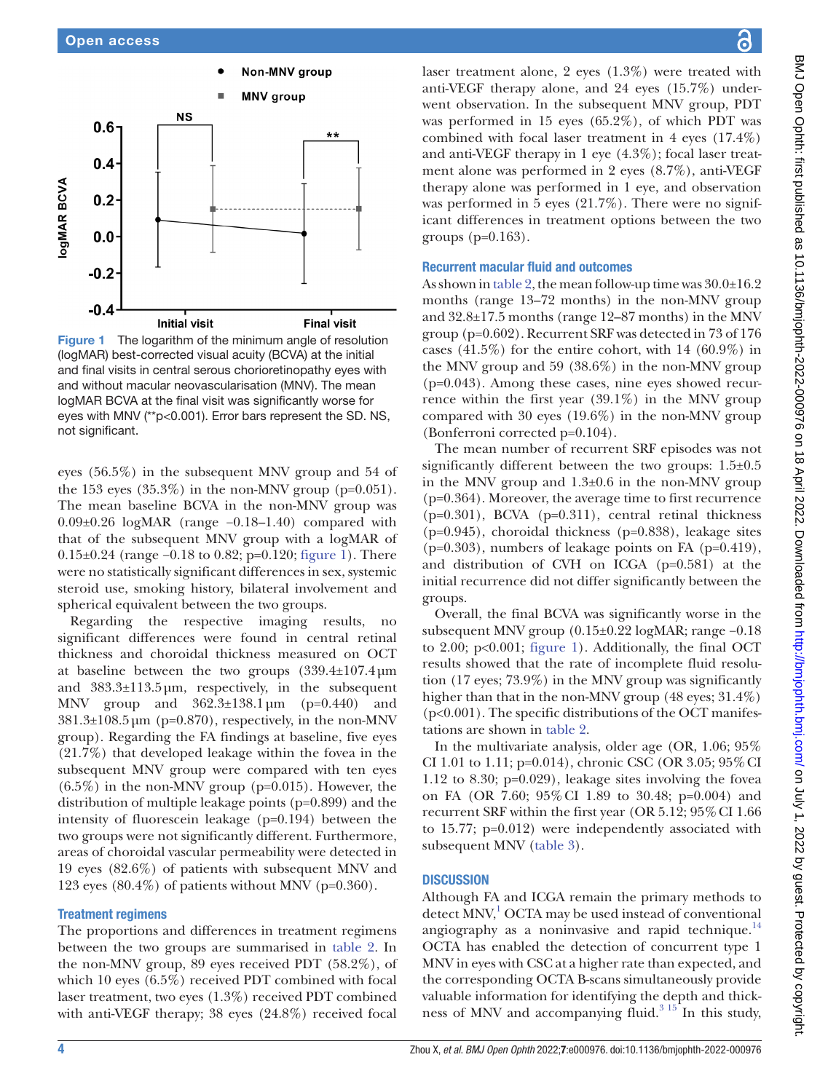

<span id="page-3-0"></span>Figure 1 The logarithm of the minimum angle of resolution (logMAR) best-corrected visual acuity (BCVA) at the initial and final visits in central serous chorioretinopathy eyes with and without macular neovascularisation (MNV). The mean logMAR BCVA at the final visit was significantly worse for eyes with MNV (\*\*p<0.001). Error bars represent the SD. NS, not significant.

eyes (56.5%) in the subsequent MNV group and 54 of the 153 eyes  $(35.3\%)$  in the non-MNV group (p=0.051). The mean baseline BCVA in the non-MNV group was 0.09±0.26 logMAR (range −0.18–1.40) compared with that of the subsequent MNV group with a logMAR of 0.15±0.24 (range −0.18 to 0.82; p=0.120; [figure](#page-3-0) 1). There were no statistically significant differences in sex, systemic steroid use, smoking history, bilateral involvement and spherical equivalent between the two groups.

Regarding the respective imaging results, no significant differences were found in central retinal thickness and choroidal thickness measured on OCT at baseline between the two groups (339.4±107.4µm and 383.3±113.5µm, respectively, in the subsequent MNV group and 362.3±138.1µm (p=0.440) and  $381.3\pm108.5\,\mu m$  (p=0.870), respectively, in the non-MNV group). Regarding the FA findings at baseline, five eyes (21.7%) that developed leakage within the fovea in the subsequent MNV group were compared with ten eyes  $(6.5\%)$  in the non-MNV group (p=0.015). However, the distribution of multiple leakage points (p=0.899) and the intensity of fluorescein leakage (p=0.194) between the two groups were not significantly different. Furthermore, areas of choroidal vascular permeability were detected in 19 eyes (82.6%) of patients with subsequent MNV and 123 eyes  $(80.4\%)$  of patients without MNV (p= $0.360$ ).

#### Treatment regimens

The proportions and differences in treatment regimens between the two groups are summarised in [table](#page-4-0) 2. In the non-MNV group, 89 eyes received PDT (58.2%), of which 10 eyes (6.5%) received PDT combined with focal laser treatment, two eyes (1.3%) received PDT combined with anti-VEGF therapy; 38 eyes (24.8%) received focal

laser treatment alone, 2 eyes (1.3%) were treated with anti-VEGF therapy alone, and 24 eyes (15.7%) underwent observation. In the subsequent MNV group, PDT was performed in 15 eyes (65.2%), of which PDT was combined with focal laser treatment in 4 eyes (17.4%) and anti-VEGF therapy in 1 eye (4.3%); focal laser treatment alone was performed in 2 eyes (8.7%), anti-VEGF therapy alone was performed in 1 eye, and observation was performed in 5 eyes (21.7%). There were no significant differences in treatment options between the two groups  $(p=0.163)$ .

# Recurrent macular fluid and outcomes

As shown in [table](#page-4-0) 2, the mean follow-up time was 30.0±16.2 months (range 13–72 months) in the non-MNV group and 32.8±17.5 months (range 12–87 months) in the MNV group (p=0.602). Recurrent SRF was detected in 73 of 176 cases  $(41.5\%)$  for the entire cohort, with 14  $(60.9\%)$  in the MNV group and 59 (38.6%) in the non-MNV group (p=0.043). Among these cases, nine eyes showed recurrence within the first year  $(39.1\%)$  in the MNV group compared with 30 eyes (19.6%) in the non-MNV group (Bonferroni corrected p=0.104).

The mean number of recurrent SRF episodes was not significantly different between the two groups: 1.5±0.5 in the MNV group and 1.3±0.6 in the non-MNV group (p=0.364). Moreover, the average time to first recurrence  $(p=0.301)$ , BCVA  $(p=0.311)$ , central retinal thickness (p=0.945), choroidal thickness (p=0.838), leakage sites  $(p=0.303)$ , numbers of leakage points on FA  $(p=0.419)$ , and distribution of CVH on ICGA (p=0.581) at the initial recurrence did not differ significantly between the groups.

Overall, the final BCVA was significantly worse in the subsequent MNV group (0.15±0.22 logMAR; range −0.18 to 2.00; p<0.001; [figure](#page-3-0) 1). Additionally, the final OCT results showed that the rate of incomplete fluid resolution (17 eyes; 73.9%) in the MNV group was significantly higher than that in the non-MNV group (48 eyes; 31.4%) (p<0.001). The specific distributions of the OCT manifestations are shown in [table](#page-4-0) 2.

In the multivariate analysis, older age (OR, 1.06; 95% CI 1.01 to 1.11; p=0.014), chronic CSC (OR 3.05; 95%CI 1.12 to 8.30; p=0.029), leakage sites involving the fovea on FA (OR 7.60; 95%CI 1.89 to 30.48; p=0.004) and recurrent SRF within the first year (OR 5.12; 95% CI 1.66 to 15.77; p=0.012) were independently associated with subsequent MNV [\(table](#page-4-1) 3).

# **DISCUSSION**

Although FA and ICGA remain the primary methods to detect MNV,<sup>[1](#page-6-0)</sup> OCTA may be used instead of conventional angiography as a noninvasive and rapid technique. $14$ OCTA has enabled the detection of concurrent type 1 MNV in eyes with CSC at a higher rate than expected, and the corresponding OCTA B-scans simultaneously provide valuable information for identifying the depth and thickness of MNV and accompanying fluid. $3^{15}$  In this study,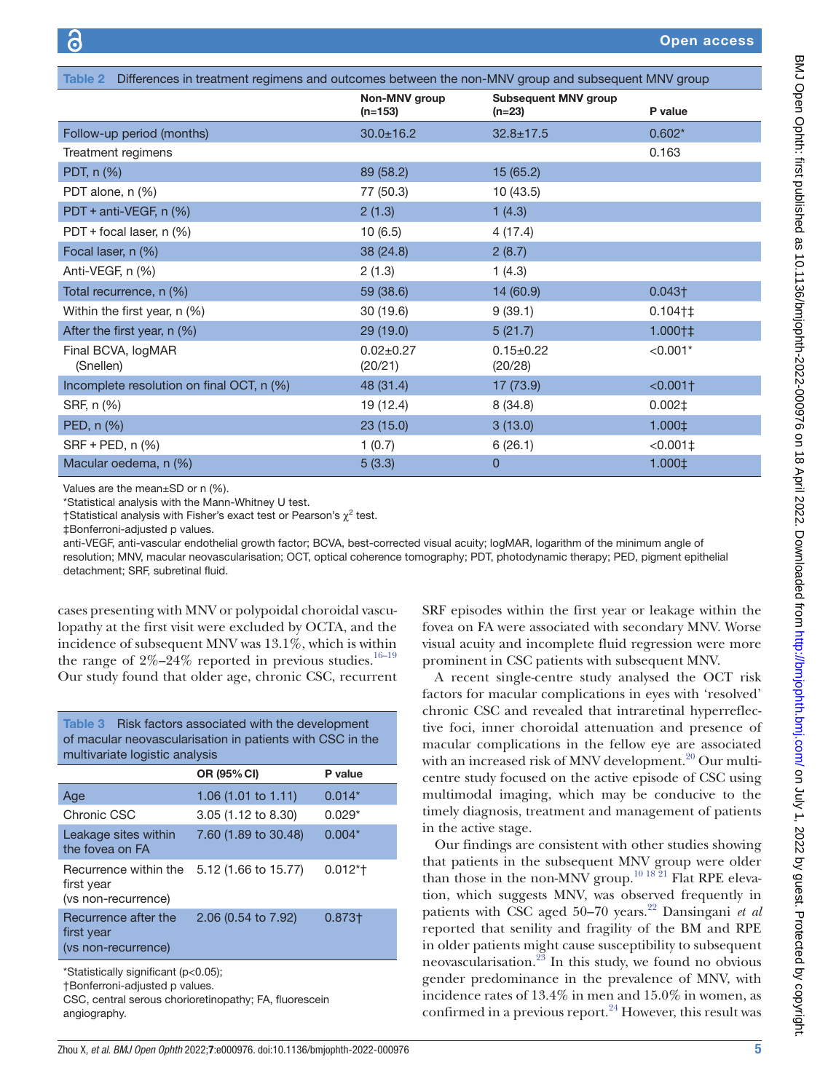<span id="page-4-0"></span>

| Differences in treatment regimens and outcomes between the non-MNV group and subsequent MNV group<br>Table 2 |                            |                                         |                           |  |  |
|--------------------------------------------------------------------------------------------------------------|----------------------------|-----------------------------------------|---------------------------|--|--|
|                                                                                                              | Non-MNV group<br>$(n=153)$ | <b>Subsequent MNV group</b><br>$(n=23)$ | P value                   |  |  |
| Follow-up period (months)                                                                                    | $30.0 \pm 16.2$            | $32.8 \pm 17.5$                         | $0.602*$                  |  |  |
| Treatment regimens                                                                                           |                            |                                         | 0.163                     |  |  |
| PDT, n (%)                                                                                                   | 89 (58.2)                  | 15(65.2)                                |                           |  |  |
| PDT alone, n (%)                                                                                             | 77 (50.3)                  | 10(43.5)                                |                           |  |  |
| PDT + anti-VEGF, n (%)                                                                                       | 2(1.3)                     | 1(4.3)                                  |                           |  |  |
| PDT + focal laser, n (%)                                                                                     | 10(6.5)                    | 4(17.4)                                 |                           |  |  |
| Focal laser, n (%)                                                                                           | 38 (24.8)                  | 2(8.7)                                  |                           |  |  |
| Anti-VEGF, n (%)                                                                                             | 2(1.3)                     | 1(4.3)                                  |                           |  |  |
| Total recurrence, n (%)                                                                                      | 59 (38.6)                  | 14 (60.9)                               | $0.043\dagger$            |  |  |
| Within the first year, n (%)                                                                                 | 30(19.6)                   | 9(39.1)                                 | $0.104$ <sup>+</sup>      |  |  |
| After the first year, $n$ (%)                                                                                | 29(19.0)                   | 5(21.7)                                 | $1.000 \uparrow \ddagger$ |  |  |
| Final BCVA, logMAR<br>(Snellen)                                                                              | $0.02 \pm 0.27$<br>(20/21) | $0.15 \pm 0.22$<br>(20/28)              | $< 0.001*$                |  |  |
| Incomplete resolution on final OCT, n (%)                                                                    | 48 (31.4)                  | 17 (73.9)                               | $< 0.001$ <sup>+</sup>    |  |  |
| SRF, n (%)                                                                                                   | 19 (12.4)                  | 8(34.8)                                 | $0.002\pm$                |  |  |
| PED, n (%)                                                                                                   | 23(15.0)                   | 3(13.0)                                 | $1.000 \pm 1.000$         |  |  |
| SRF + PED, n (%)                                                                                             | 1(0.7)                     | 6(26.1)                                 | $< 0.001$ ±               |  |  |
| Macular oedema, n (%)                                                                                        | 5(3.3)                     | 0                                       | $1.000 \pm$               |  |  |

Values are the mean±SD or n (%).

\*Statistical analysis with the Mann-Whitney U test.

†Statistical analysis with Fisher's exact test or Pearson's  $\chi^2$  test.

‡Bonferroni-adjusted p values.

anti-VEGF, anti-vascular endothelial growth factor; BCVA, best-corrected visual acuity; logMAR, logarithm of the minimum angle of resolution; MNV, macular neovascularisation; OCT, optical coherence tomography; PDT, photodynamic therapy; PED, pigment epithelial detachment; SRF, subretinal fluid.

cases presenting with MNV or polypoidal choroidal vasculopathy at the first visit were excluded by OCTA, and the incidence of subsequent MNV was 13.1%, which is within the range of  $2\% - 24\%$  reported in previous studies.<sup>16–19</sup> Our study found that older age, chronic CSC, recurrent

<span id="page-4-1"></span>Table 3 Risk factors associated with the development of macular neovascularisation in patients with CSC in the multivariate logistic analysis

| OR (95% CI)                    | P value   |
|--------------------------------|-----------|
| 1.06 $(1.01 \text{ to } 1.11)$ | $0.014*$  |
| 3.05 (1.12 to 8.30)            | $0.029*$  |
| 7.60 (1.89 to 30.48)           | $0.004*$  |
| 5.12 (1.66 to 15.77)           | $0.012*t$ |
| 2.06 (0.54 to 7.92)            | $0.873 +$ |
|                                |           |

\*Statistically significant (p<0.05);

†Bonferroni-adjusted p values.

CSC, central serous chorioretinopathy; FA, fluorescein angiography.

SRF episodes within the first year or leakage within the fovea on FA were associated with secondary MNV. Worse visual acuity and incomplete fluid regression were more prominent in CSC patients with subsequent MNV.

A recent single-centre study analysed the OCT risk factors for macular complications in eyes with 'resolved' chronic CSC and revealed that intraretinal hyperreflective foci, inner choroidal attenuation and presence of macular complications in the fellow eye are associated with an increased risk of MNV development.<sup>20</sup> Our multicentre study focused on the active episode of CSC using multimodal imaging, which may be conducive to the timely diagnosis, treatment and management of patients in the active stage.

Our findings are consistent with other studies showing that patients in the subsequent MNV group were older than those in the non-MNV group.<sup>10 18 21</sup> Flat RPE elevation, which suggests MNV, was observed frequently in patients with CSC aged 50–70 years.<sup>22</sup> Dansingani *et al* reported that senility and fragility of the BM and RPE in older patients might cause susceptibility to subsequent neovascularisation.<sup>[23](#page-6-14)</sup> In this study, we found no obvious gender predominance in the prevalence of MNV, with incidence rates of 13.4% in men and 15.0% in women, as confirmed in a previous report. $24$  However, this result was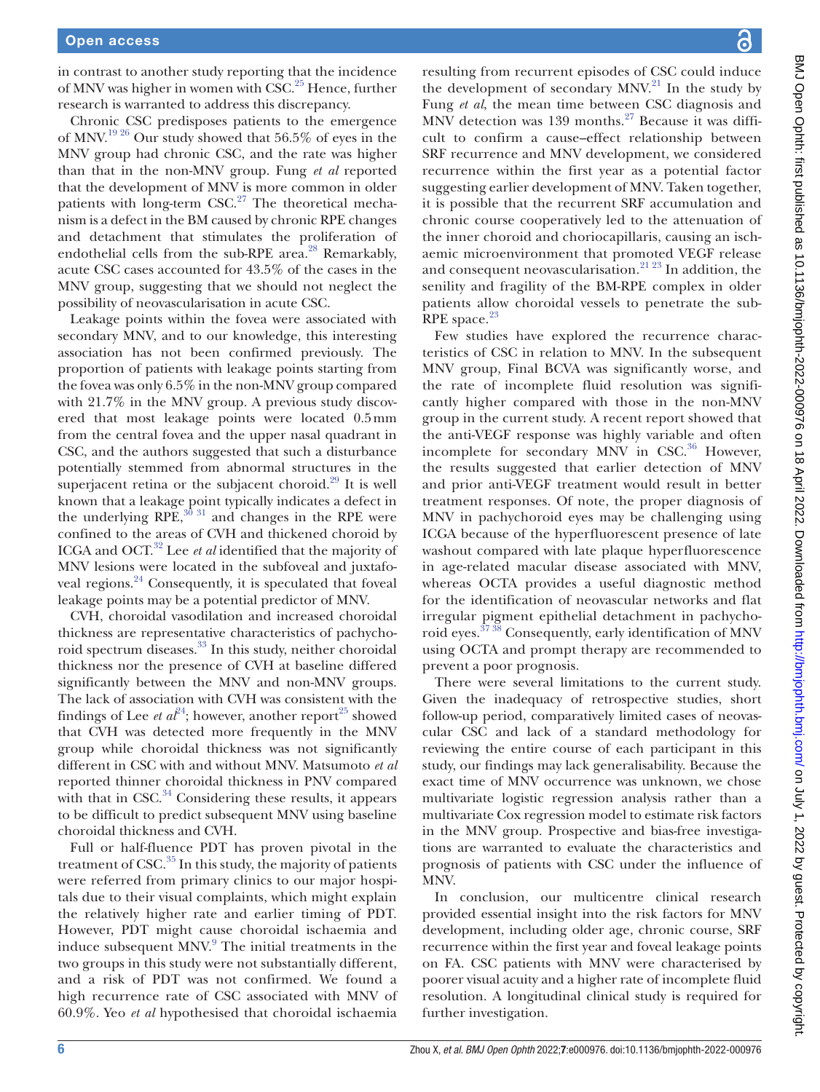in contrast to another study reporting that the incidence of MNV was higher in women with CSC.<sup>25</sup> Hence, further research is warranted to address this discrepancy.

Chronic CSC predisposes patients to the emergence of MNV.[19 26](#page-6-17) Our study showed that 56.5% of eyes in the MNV group had chronic CSC, and the rate was higher than that in the non-MNV group. Fung *et al* reported that the development of MNV is more common in older patients with long-term  $CSC<sup>27</sup>$  The theoretical mechanism is a defect in the BM caused by chronic RPE changes and detachment that stimulates the proliferation of endothelial cells from the sub-RPE area.<sup>28</sup> Remarkably, acute CSC cases accounted for 43.5% of the cases in the MNV group, suggesting that we should not neglect the possibility of neovascularisation in acute CSC.

Leakage points within the fovea were associated with secondary MNV, and to our knowledge, this interesting association has not been confirmed previously. The proportion of patients with leakage points starting from the fovea was only 6.5% in the non-MNV group compared with 21.7% in the MNV group. A previous study discovered that most leakage points were located 0.5mm from the central fovea and the upper nasal quadrant in CSC, and the authors suggested that such a disturbance potentially stemmed from abnormal structures in the superjacent retina or the subjacent choroid.<sup>29</sup> It is well known that a leakage point typically indicates a defect in the underlying  $RPE$ ,  $^{30}$  31 and changes in the RPE were confined to the areas of CVH and thickened choroid by ICGA and OCT.[32](#page-7-0) Lee *et al* identified that the majority of MNV lesions were located in the subfoveal and juxtafoveal regions[.24](#page-6-15) Consequently, it is speculated that foveal leakage points may be a potential predictor of MNV.

CVH, choroidal vasodilation and increased choroidal thickness are representative characteristics of pachychoroid spectrum diseases.<sup>33</sup> In this study, neither choroidal thickness nor the presence of CVH at baseline differed significantly between the MNV and non-MNV groups. The lack of association with CVH was consistent with the findings of Lee *et al*<sup>24</sup>; however, another report<sup>25</sup> showed that CVH was detected more frequently in the MNV group while choroidal thickness was not significantly different in CSC with and without MNV. Matsumoto *et al* reported thinner choroidal thickness in PNV compared with that in CSC. $34$  Considering these results, it appears to be difficult to predict subsequent MNV using baseline choroidal thickness and CVH.

Full or half-fluence PDT has proven pivotal in the treatment of  $\text{CSC.}^{35}$  In this study, the majority of patients were referred from primary clinics to our major hospitals due to their visual complaints, which might explain the relatively higher rate and earlier timing of PDT. However, PDT might cause choroidal ischaemia and induce subsequent MNV.<sup>[9](#page-6-5)</sup> The initial treatments in the two groups in this study were not substantially different, and a risk of PDT was not confirmed. We found a high recurrence rate of CSC associated with MNV of 60.9%. Yeo *et al* hypothesised that choroidal ischaemia

resulting from recurrent episodes of CSC could induce the development of secondary MNV. $^{21}$  In the study by Fung *et al*, the mean time between CSC diagnosis and MNV detection was 139 months.<sup>27</sup> Because it was difficult to confirm a cause–effect relationship between SRF recurrence and MNV development, we considered recurrence within the first year as a potential factor suggesting earlier development of MNV. Taken together, it is possible that the recurrent SRF accumulation and chronic course cooperatively led to the attenuation of the inner choroid and choriocapillaris, causing an ischaemic microenvironment that promoted VEGF release and consequent neovascularisation.[21 23](#page-6-22) In addition, the senility and fragility of the BM-RPE complex in older patients allow choroidal vessels to penetrate the sub-RPE space. $23$ 

Few studies have explored the recurrence characteristics of CSC in relation to MNV. In the subsequent MNV group, Final BCVA was significantly worse, and the rate of incomplete fluid resolution was significantly higher compared with those in the non-MNV group in the current study. A recent report showed that the anti-VEGF response was highly variable and often incomplete for secondary MNV in CSC.<sup>[36](#page-7-4)</sup> However, the results suggested that earlier detection of MNV and prior anti-VEGF treatment would result in better treatment responses. Of note, the proper diagnosis of MNV in pachychoroid eyes may be challenging using ICGA because of the hyperfluorescent presence of late washout compared with late plaque hyperfluorescence in age-related macular disease associated with MNV, whereas OCTA provides a useful diagnostic method for the identification of neovascular networks and flat irregular pigment epithelial detachment in pachychoroid eyes.[37 38](#page-7-5) Consequently, early identification of MNV using OCTA and prompt therapy are recommended to prevent a poor prognosis.

There were several limitations to the current study. Given the inadequacy of retrospective studies, short follow-up period, comparatively limited cases of neovascular CSC and lack of a standard methodology for reviewing the entire course of each participant in this study, our findings may lack generalisability. Because the exact time of MNV occurrence was unknown, we chose multivariate logistic regression analysis rather than a multivariate Cox regression model to estimate risk factors in the MNV group. Prospective and bias-free investigations are warranted to evaluate the characteristics and prognosis of patients with CSC under the influence of MNV.

In conclusion, our multicentre clinical research provided essential insight into the risk factors for MNV development, including older age, chronic course, SRF recurrence within the first year and foveal leakage points on FA. CSC patients with MNV were characterised by poorer visual acuity and a higher rate of incomplete fluid resolution. A longitudinal clinical study is required for further investigation.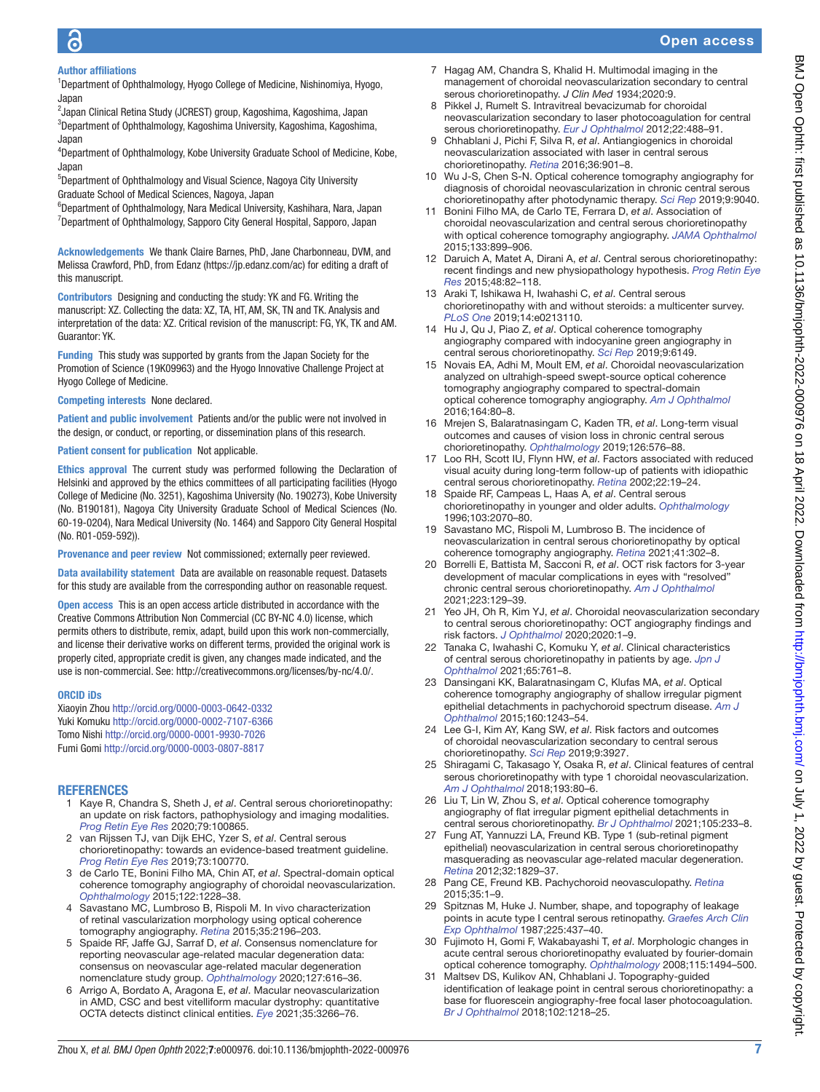# Open access

# Author affiliations

<sup>1</sup>Department of Ophthalmology, Hyogo College of Medicine, Nishinomiya, Hyogo, Japan

<sup>2</sup>Japan Clinical Retina Study (JCREST) group, Kagoshima, Kagoshima, Japan 3 Department of Ophthalmology, Kagoshima University, Kagoshima, Kagoshima, Japan

<sup>4</sup>Department of Ophthalmology, Kobe University Graduate School of Medicine, Kobe, Japan

5 Department of Ophthalmology and Visual Science, Nagoya City University Graduate School of Medical Sciences, Nagoya, Japan

6 Department of Ophthalmology, Nara Medical University, Kashihara, Nara, Japan <sup>7</sup>Department of Ophthalmology, Sapporo City General Hospital, Sapporo, Japan

Acknowledgements We thank Claire Barnes, PhD, Jane Charbonneau, DVM, and Melissa Crawford, PhD, from Edanz ([https://jp.edanz.com/ac\)](https://jp.edanz.com/ac) for editing a draft of this manuscript.

Contributors Designing and conducting the study: YK and FG. Writing the manuscript: XZ. Collecting the data: XZ, TA, HT, AM, SK, TN and TK. Analysis and interpretation of the data: XZ. Critical revision of the manuscript: FG, YK, TK and AM. Guarantor: YK.

Funding This study was supported by grants from the Japan Society for the Promotion of Science (19K09963) and the Hyogo Innovative Challenge Project at Hyogo College of Medicine.

Competing interests None declared.

Patient and public involvement Patients and/or the public were not involved in the design, or conduct, or reporting, or dissemination plans of this research.

### Patient consent for publication Not applicable.

Ethics approval The current study was performed following the Declaration of Helsinki and approved by the ethics committees of all participating facilities (Hyogo College of Medicine (No. 3251), Kagoshima University (No. 190273), Kobe University (No. B190181), Nagoya City University Graduate School of Medical Sciences (No. 60-19-0204), Nara Medical University (No. 1464) and Sapporo City General Hospital (No. R01-059-592)).

Provenance and peer review Not commissioned; externally peer reviewed.

Data availability statement Data are available on reasonable request. Datasets for this study are available from the corresponding author on reasonable request.

Open access This is an open access article distributed in accordance with the Creative Commons Attribution Non Commercial (CC BY-NC 4.0) license, which permits others to distribute, remix, adapt, build upon this work non-commercially, and license their derivative works on different terms, provided the original work is properly cited, appropriate credit is given, any changes made indicated, and the use is non-commercial. See:<http://creativecommons.org/licenses/by-nc/4.0/>.

#### ORCID iDs

Xiaoyin Zhou <http://orcid.org/0000-0003-0642-0332> Yuki Komuku<http://orcid.org/0000-0002-7107-6366> Tomo Nishi <http://orcid.org/0000-0001-9930-7026> Fumi Gomi <http://orcid.org/0000-0003-0807-8817>

# **REFERENCES**

- <span id="page-6-0"></span>1 Kaye R, Chandra S, Sheth J, *et al*. Central serous chorioretinopathy: an update on risk factors, pathophysiology and imaging modalities. *[Prog Retin Eye Res](http://dx.doi.org/10.1016/j.preteyeres.2020.100865)* 2020;79:100865.
- 2 van Rijssen TJ, van Dijk EHC, Yzer S, *et al*. Central serous chorioretinopathy: towards an evidence-based treatment guideline. *[Prog Retin Eye Res](http://dx.doi.org/10.1016/j.preteyeres.2019.07.003)* 2019;73:100770.
- <span id="page-6-1"></span>3 de Carlo TE, Bonini Filho MA, Chin AT, *et al*. Spectral-domain optical coherence tomography angiography of choroidal neovascularization. *[Ophthalmology](http://dx.doi.org/10.1016/j.ophtha.2015.01.029)* 2015;122:1228–38.
- 4 Savastano MC, Lumbroso B, Rispoli M. In vivo characterization of retinal vascularization morphology using optical coherence tomography angiography. *[Retina](http://dx.doi.org/10.1097/IAE.0000000000000635)* 2015;35:2196–203.
- <span id="page-6-2"></span>5 Spaide RF, Jaffe GJ, Sarraf D, *et al*. Consensus nomenclature for reporting neovascular age-related macular degeneration data: consensus on neovascular age-related macular degeneration nomenclature study group. *[Ophthalmology](http://dx.doi.org/10.1016/j.ophtha.2019.11.004)* 2020;127:616–36.
- <span id="page-6-3"></span>6 Arrigo A, Bordato A, Aragona E, *et al*. Macular neovascularization in AMD, CSC and best vitelliform macular dystrophy: quantitative OCTA detects distinct clinical entities. *[Eye](http://dx.doi.org/10.1038/s41433-021-01396-2)* 2021;35:3266–76.
- 7 Hagag AM, Chandra S, Khalid H. Multimodal imaging in the management of choroidal neovascularization secondary to central serous chorioretinopathy. *J Clin Med* 1934;2020:9.
- <span id="page-6-4"></span>8 Pikkel J, Rumelt S. Intravitreal bevacizumab for choroidal neovascularization secondary to laser photocoagulation for central serous chorioretinopathy. *[Eur J Ophthalmol](http://dx.doi.org/10.5301/ejo.5000036)* 2012;22:488–91.
- <span id="page-6-5"></span>9 Chhablani J, Pichi F, Silva R, *et al*. Antiangiogenics in choroidal neovascularization associated with laser in central serous chorioretinopathy. *[Retina](http://dx.doi.org/10.1097/IAE.0000000000000804)* 2016;36:901–8.
- <span id="page-6-12"></span>10 Wu J-S, Chen S-N. Optical coherence tomography angiography for diagnosis of choroidal neovascularization in chronic central serous chorioretinopathy after photodynamic therapy. *[Sci Rep](http://dx.doi.org/10.1038/s41598-019-45080-8)* 2019;9:9040.
- <span id="page-6-6"></span>11 Bonini Filho MA, de Carlo TE, Ferrara D, *et al*. Association of choroidal neovascularization and central serous chorioretinopathy with optical coherence tomography angiography. *[JAMA Ophthalmol](http://dx.doi.org/10.1001/jamaophthalmol.2015.1320)* 2015;133:899–906.
- <span id="page-6-7"></span>12 Daruich A, Matet A, Dirani A, *et al*. Central serous chorioretinopathy: recent findings and new physiopathology hypothesis. *[Prog Retin Eye](http://dx.doi.org/10.1016/j.preteyeres.2015.05.003)  [Res](http://dx.doi.org/10.1016/j.preteyeres.2015.05.003)* 2015;48:82–118.
- <span id="page-6-8"></span>13 Araki T, Ishikawa H, Iwahashi C, *et al*. Central serous chorioretinopathy with and without steroids: a multicenter survey. *[PLoS One](http://dx.doi.org/10.1371/journal.pone.0213110)* 2019;14:e0213110.
- <span id="page-6-9"></span>14 Hu J, Qu J, Piao Z, *et al*. Optical coherence tomography angiography compared with indocyanine green angiography in central serous chorioretinopathy. *[Sci Rep](http://dx.doi.org/10.1038/s41598-019-42623-x)* 2019;9:6149.
- 15 Novais EA, Adhi M, Moult EM, *et al*. Choroidal neovascularization analyzed on ultrahigh-speed swept-source optical coherence tomography angiography compared to spectral-domain optical coherence tomography angiography. *[Am J Ophthalmol](http://dx.doi.org/10.1016/j.ajo.2016.01.011)* 2016;164:80–8.
- <span id="page-6-10"></span>16 Mrejen S, Balaratnasingam C, Kaden TR, *et al*. Long-term visual outcomes and causes of vision loss in chronic central serous chorioretinopathy. *[Ophthalmology](http://dx.doi.org/10.1016/j.ophtha.2018.12.048)* 2019;126:576–88.
- 17 Loo RH, Scott IU, Flynn HW, *et al*. Factors associated with reduced visual acuity during long-term follow-up of patients with idiopathic central serous chorioretinopathy. *[Retina](http://dx.doi.org/10.1097/00006982-200202000-00004)* 2002;22:19–24.
- 18 Spaide RF, Campeas L, Haas A, *et al*. Central serous chorioretinopathy in younger and older adults. *[Ophthalmology](http://dx.doi.org/10.1016/S0161-6420(96)30386-2)* 1996;103:2070–80.
- <span id="page-6-17"></span>19 Savastano MC, Rispoli M, Lumbroso B. The incidence of neovascularization in central serous chorioretinopathy by optical coherence tomography angiography. *[Retina](http://dx.doi.org/10.1097/IAE.0000000000002810)* 2021;41:302–8.
- <span id="page-6-11"></span>20 Borrelli E, Battista M, Sacconi R, *et al*. OCT risk factors for 3-year development of macular complications in eyes with "resolved" chronic central serous chorioretinopathy. *[Am J Ophthalmol](http://dx.doi.org/10.1016/j.ajo.2020.10.011)* 2021;223:129–39.
- <span id="page-6-22"></span>21 Yeo JH, Oh R, Kim YJ, *et al*. Choroidal neovascularization secondary to central serous chorioretinopathy: OCT angiography findings and risk factors. *[J Ophthalmol](http://dx.doi.org/10.1155/2020/7217906)* 2020;2020:1–9.
- <span id="page-6-13"></span>22 Tanaka C, Iwahashi C, Komuku Y, *et al*. Clinical characteristics of central serous chorioretinopathy in patients by age. *[Jpn J](http://dx.doi.org/10.1007/s10384-021-00861-5)  [Ophthalmol](http://dx.doi.org/10.1007/s10384-021-00861-5)* 2021;65:761–8.
- <span id="page-6-14"></span>23 Dansingani KK, Balaratnasingam C, Klufas MA, *et al*. Optical coherence tomography angiography of shallow irregular pigment epithelial detachments in pachychoroid spectrum disease. *[Am J](http://dx.doi.org/10.1016/j.ajo.2015.08.028)  [Ophthalmol](http://dx.doi.org/10.1016/j.ajo.2015.08.028)* 2015;160:1243–54.
- <span id="page-6-15"></span>24 Lee G-I, Kim AY, Kang SW, *et al*. Risk factors and outcomes of choroidal neovascularization secondary to central serous chorioretinopathy. *[Sci Rep](http://dx.doi.org/10.1038/s41598-019-40406-y)* 2019;9:3927.
- <span id="page-6-16"></span>25 Shiragami C, Takasago Y, Osaka R, *et al*. Clinical features of central serous chorioretinopathy with type 1 choroidal neovascularization. *[Am J Ophthalmol](http://dx.doi.org/10.1016/j.ajo.2018.06.009)* 2018;193:80–6.
- 26 Liu T, Lin W, Zhou S, *et al*. Optical coherence tomography angiography of flat irregular pigment epithelial detachments in central serous chorioretinopathy. *[Br J Ophthalmol](http://dx.doi.org/10.1136/bjophthalmol-2019-315318)* 2021;105:233–8.
- <span id="page-6-18"></span>27 Fung AT, Yannuzzi LA, Freund KB. Type 1 (sub-retinal pigment epithelial) neovascularization in central serous chorioretinopathy masquerading as neovascular age-related macular degeneration. *[Retina](http://dx.doi.org/10.1097/IAE.0b013e3182680a66)* 2012;32:1829–37.
- <span id="page-6-19"></span>28 Pang CE, Freund KB. Pachychoroid neovasculopathy. *[Retina](http://dx.doi.org/10.1097/IAE.0000000000000331)* 2015;35:1–9.
- <span id="page-6-20"></span>29 Spitznas M, Huke J. Number, shape, and topography of leakage points in acute type I central serous retinopathy. *[Graefes Arch Clin](http://dx.doi.org/10.1007/BF02334172)  [Exp Ophthalmol](http://dx.doi.org/10.1007/BF02334172)* 1987;225:437–40.
- <span id="page-6-21"></span>30 Fujimoto H, Gomi F, Wakabayashi T, *et al*. Morphologic changes in acute central serous chorioretinopathy evaluated by fourier-domain optical coherence tomography. *[Ophthalmology](http://dx.doi.org/10.1016/j.ophtha.2008.01.021)* 2008;115:1494–500.
- 31 Maltsev DS, Kulikov AN, Chhablani J. Topography-guided identification of leakage point in central serous chorioretinopathy: a base for fluorescein angiography-free focal laser photocoagulation. *[Br J Ophthalmol](http://dx.doi.org/10.1136/bjophthalmol-2017-311338)* 2018;102:1218–25.